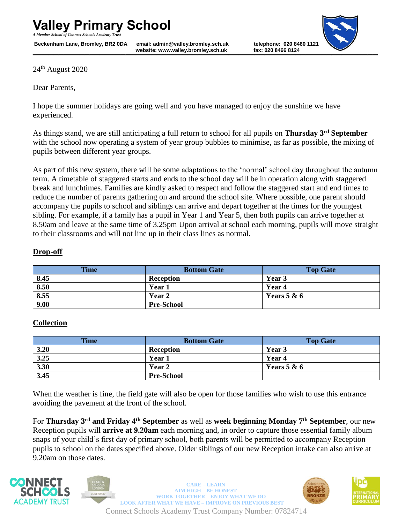*A Member School of Connect Schools Academy Trust*

**Example 3.1 Website: www.valley.bromley.sch.uk fax: 020 8466 8124 Beckenham Lane, Bromley, BR2 0DA email: admin@valley.bromley.sch.uk telephone: 020 8460 1121**



24<sup>th</sup> August 2020

Dear Parents,

I hope the summer holidays are going well and you have managed to enjoy the sunshine we have experienced.

As things stand, we are still anticipating a full return to school for all pupils on **Thursday 3rd September** with the school now operating a system of year group bubbles to minimise, as far as possible, the mixing of pupils between different year groups.

As part of this new system, there will be some adaptations to the 'normal' school day throughout the autumn term. A timetable of staggered starts and ends to the school day will be in operation along with staggered break and lunchtimes. Families are kindly asked to respect and follow the staggered start and end times to reduce the number of parents gathering on and around the school site. Where possible, one parent should accompany the pupils to school and siblings can arrive and depart together at the times for the youngest sibling. For example, if a family has a pupil in Year 1 and Year 5, then both pupils can arrive together at 8.50am and leave at the same time of 3.25pm Upon arrival at school each morning, pupils will move straight to their classrooms and will not line up in their class lines as normal.

## **Drop-off**

| <b>Time</b> | <b>Bottom Gate</b> | <b>Top Gate</b> |
|-------------|--------------------|-----------------|
| 8.45        | <b>Reception</b>   | Year 3          |
| 8.50        | Year 1             | Year 4          |
| 8.55        | <b>Year 2</b>      | Years $5 & 6$   |
| 9.00        | <b>Pre-School</b>  |                 |

## **Collection**

| <b>Time</b> | <b>Bottom Gate</b> | <b>Top Gate</b> |
|-------------|--------------------|-----------------|
| 3.20        | <b>Reception</b>   | Year 3          |
| 3.25        | Year 1             | Year 4          |
| 3.30        | Year 2             | Years $5 & 6$   |
| 3.45        | <b>Pre-School</b>  |                 |

When the weather is fine, the field gate will also be open for those families who wish to use this entrance avoiding the pavement at the front of the school.

For **Thursday 3rd and Friday 4th September** as well as **week beginning Monday 7th September**, our new Reception pupils will **arrive at 9.20am** each morning and, in order to capture those essential family album snaps of your child's first day of primary school, both parents will be permitted to accompany Reception pupils to school on the dates specified above. Older siblings of our new Reception intake can also arrive at 9.20am on those dates.





Connect Schools Academy Trust Company Number: 07824714  **CARE – LEARN AIM HIGH – BE HONEST WORK TOGETHER – ENJOY WHAT WE DO LOOK AFTER WHAT WE HAVE – IMPROVE ON PREVIOUS BEST** 



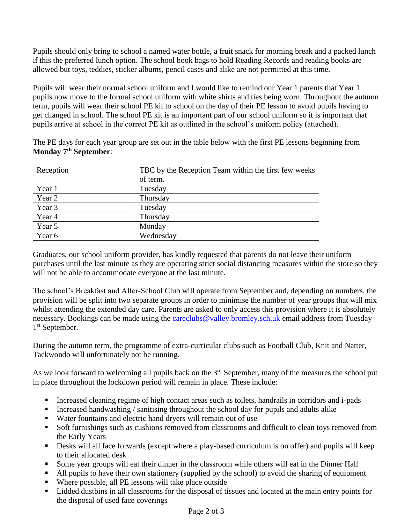Pupils should only bring to school a named water bottle, a fruit snack for morning break and a packed lunch if this the preferred lunch option. The school book bags to hold Reading Records and reading books are allowed but toys, teddies, sticker albums, pencil cases and alike are not permitted at this time.

Pupils will wear their normal school uniform and I would like to remind our Year 1 parents that Year 1 pupils now move to the formal school uniform with white shirts and ties being worn. Throughout the autumn term, pupils will wear their school PE kit to school on the day of their PE lesson to avoid pupils having to get changed in school. The school PE kit is an important part of our school uniform so it is important that pupils arrive at school in the correct PE kit as outlined in the school's uniform policy (attached).

The PE days for each year group are set out in the table below with the first PE lessons beginning from **Monday 7th September**:

| Reception | TBC by the Reception Team within the first few weeks |
|-----------|------------------------------------------------------|
|           | of term.                                             |
| Year 1    | Tuesday                                              |
| Year 2    | Thursday                                             |
| Year 3    | Tuesday                                              |
| Year 4    | Thursday                                             |
| Year 5    | Monday                                               |
| Year 6    | Wednesday                                            |

Graduates, our school uniform provider, has kindly requested that parents do not leave their uniform purchases until the last minute as they are operating strict social distancing measures within the store so they will not be able to accommodate everyone at the last minute.

The school's Breakfast and After-School Club will operate from September and, depending on numbers, the provision will be split into two separate groups in order to minimise the number of year groups that will mix whilst attending the extended day care. Parents are asked to only access this provision where it is absolutely necessary. Bookings can be made using the [careclubs@valley.bromley.sch.uk](mailto:careclubs@valley.bromley.sch.uk) email address from Tuesday 1 st September.

During the autumn term, the programme of extra-curricular clubs such as Football Club, Knit and Natter, Taekwondo will unfortunately not be running.

As we look forward to welcoming all pupils back on the 3<sup>rd</sup> September, many of the measures the school put in place throughout the lockdown period will remain in place. These include:

- Increased cleaning regime of high contact areas such as toilets, handrails in corridors and i-pads
- Increased handwashing / sanitising throughout the school day for pupils and adults alike
- Water fountains and electric hand dryers will remain out of use
- Soft furnishings such as cushions removed from classrooms and difficult to clean toys removed from the Early Years
- **•** Desks will all face forwards (except where a play-based curriculum is on offer) and pupils will keep to their allocated desk
- Some year groups will eat their dinner in the classroom while others will eat in the Dinner Hall
- All pupils to have their own stationery (supplied by the school) to avoid the sharing of equipment
- Where possible, all PE lessons will take place outside
- Lidded dustbins in all classrooms for the disposal of tissues and located at the main entry points for the disposal of used face coverings